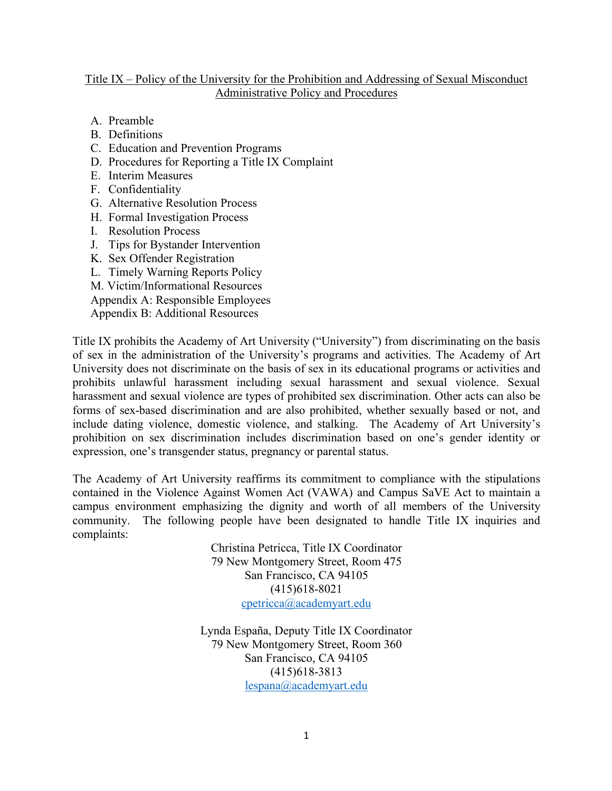#### Title IX – Policy of the University for the Prohibition and Addressing of Sexual Misconduct Administrative Policy and Procedures

- A. Preamble
- B. Definitions
- C. Education and Prevention Programs
- D. Procedures for Reporting a Title IX Complaint
- E. Interim Measures
- F. Confidentiality
- G. Alternative Resolution Process
- H. Formal Investigation Process
- I. Resolution Process
- J. Tips for Bystander Intervention
- K. Sex Offender Registration
- L. Timely Warning Reports Policy
- M. Victim/Informational Resources
- Appendix A: Responsible Employees
- Appendix B: Additional Resources

Title IX prohibits the Academy of Art University ("University") from discriminating on the basis of sex in the administration of the University's programs and activities. The Academy of Art University does not discriminate on the basis of sex in its educational programs or activities and prohibits unlawful harassment including sexual harassment and sexual violence. Sexual harassment and sexual violence are types of prohibited sex discrimination. Other acts can also be forms of sex-based discrimination and are also prohibited, whether sexually based or not, and include dating violence, domestic violence, and stalking. The Academy of Art University's prohibition on sex discrimination includes discrimination based on one's gender identity or expression, one's transgender status, pregnancy or parental status.

The Academy of Art University reaffirms its commitment to compliance with the stipulations contained in the Violence Against Women Act (VAWA) and Campus SaVE Act to maintain a campus environment emphasizing the dignity and worth of all members of the University community. The following people have been designated to handle Title IX inquiries and complaints:

> Christina Petricca, Title IX Coordinator 79 New Montgomery Street, Room 475 San Francisco, CA 94105 (415)618-8021 cpetricca@academyart.edu

Lynda España, Deputy Title IX Coordinator 79 New Montgomery Street, Room 360 San Francisco, CA 94105 (415)618-3813 lespana@academyart.edu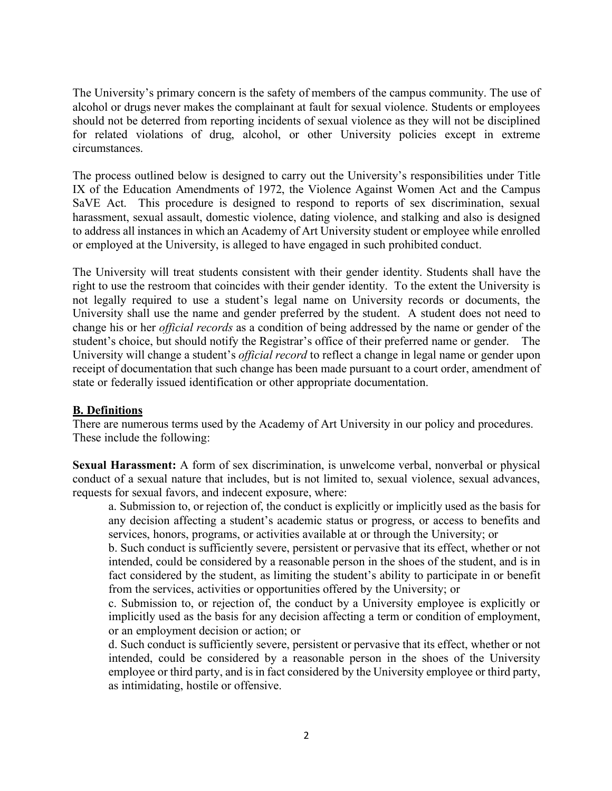The University's primary concern is the safety of members of the campus community. The use of alcohol or drugs never makes the complainant at fault for sexual violence. Students or employees should not be deterred from reporting incidents of sexual violence as they will not be disciplined for related violations of drug, alcohol, or other University policies except in extreme circumstances.

The process outlined below is designed to carry out the University's responsibilities under Title IX of the Education Amendments of 1972, the Violence Against Women Act and the Campus SaVE Act. This procedure is designed to respond to reports of sex discrimination, sexual harassment, sexual assault, domestic violence, dating violence, and stalking and also is designed to address all instances in which an Academy of Art University student or employee while enrolled or employed at the University, is alleged to have engaged in such prohibited conduct.

The University will treat students consistent with their gender identity. Students shall have the right to use the restroom that coincides with their gender identity. To the extent the University is not legally required to use a student's legal name on University records or documents, the University shall use the name and gender preferred by the student. A student does not need to change his or her *official records* as a condition of being addressed by the name or gender of the student's choice, but should notify the Registrar's office of their preferred name or gender. The University will change a student's *official record* to reflect a change in legal name or gender upon receipt of documentation that such change has been made pursuant to a court order, amendment of state or federally issued identification or other appropriate documentation.

#### **B. Definitions**

There are numerous terms used by the Academy of Art University in our policy and procedures. These include the following:

**Sexual Harassment:** A form of sex discrimination, is unwelcome verbal, nonverbal or physical conduct of a sexual nature that includes, but is not limited to, sexual violence, sexual advances, requests for sexual favors, and indecent exposure, where:

a. Submission to, or rejection of, the conduct is explicitly or implicitly used as the basis for any decision affecting a student's academic status or progress, or access to benefits and services, honors, programs, or activities available at or through the University; or

b. Such conduct is sufficiently severe, persistent or pervasive that its effect, whether or not intended, could be considered by a reasonable person in the shoes of the student, and is in fact considered by the student, as limiting the student's ability to participate in or benefit from the services, activities or opportunities offered by the University; or

c. Submission to, or rejection of, the conduct by a University employee is explicitly or implicitly used as the basis for any decision affecting a term or condition of employment, or an employment decision or action; or

d. Such conduct is sufficiently severe, persistent or pervasive that its effect, whether or not intended, could be considered by a reasonable person in the shoes of the University employee or third party, and is in fact considered by the University employee or third party, as intimidating, hostile or offensive.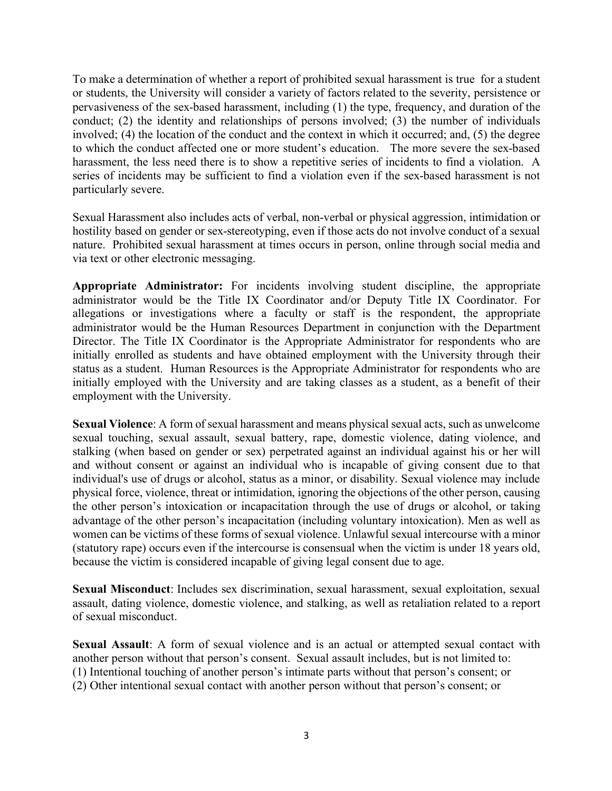To make a determination of whether a report of prohibited sexual harassment is true for a student or students, the University will consider a variety of factors related to the severity, persistence or pervasiveness of the sex-based harassment, including (1) the type, frequency, and duration of the conduct; (2) the identity and relationships of persons involved; (3) the number of individuals involved; (4) the location of the conduct and the context in which it occurred; and, (5) the degree to which the conduct affected one or more student's education. The more severe the sex-based harassment, the less need there is to show a repetitive series of incidents to find a violation. A series of incidents may be sufficient to find a violation even if the sex-based harassment is not particularly severe.

Sexual Harassment also includes acts of verbal, non-verbal or physical aggression, intimidation or hostility based on gender or sex-stereotyping, even if those acts do not involve conduct of a sexual nature. Prohibited sexual harassment at times occurs in person, online through social media and via text or other electronic messaging.

**Appropriate Administrator:** For incidents involving student discipline, the appropriate administrator would be the Title IX Coordinator and/or Deputy Title IX Coordinator. For allegations or investigations where a faculty or staff is the respondent, the appropriate administrator would be the Human Resources Department in conjunction with the Department Director. The Title IX Coordinator is the Appropriate Administrator for respondents who are initially enrolled as students and have obtained employment with the University through their status as a student. Human Resources is the Appropriate Administrator for respondents who are initially employed with the University and are taking classes as a student, as a benefit of their employment with the University.

**Sexual Violence**: A form of sexual harassment and means physical sexual acts, such as unwelcome sexual touching, sexual assault, sexual battery, rape, domestic violence, dating violence, and stalking (when based on gender or sex) perpetrated against an individual against his or her will and without consent or against an individual who is incapable of giving consent due to that individual's use of drugs or alcohol, status as a minor, or disability. Sexual violence may include physical force, violence, threat or intimidation, ignoring the objections of the other person, causing the other person's intoxication or incapacitation through the use of drugs or alcohol, or taking advantage of the other person's incapacitation (including voluntary intoxication). Men as well as women can be victims of these forms of sexual violence. Unlawful sexual intercourse with a minor (statutory rape) occurs even if the intercourse is consensual when the victim is under 18 years old, because the victim is considered incapable of giving legal consent due to age.

**Sexual Misconduct**: Includes sex discrimination, sexual harassment, sexual exploitation, sexual assault, dating violence, domestic violence, and stalking, as well as retaliation related to a report of sexual misconduct.

**Sexual Assault**: A form of sexual violence and is an actual or attempted sexual contact with another person without that person's consent. Sexual assault includes, but is not limited to: (1) Intentional touching of another person's intimate parts without that person's consent; or (2) Other intentional sexual contact with another person without that person's consent; or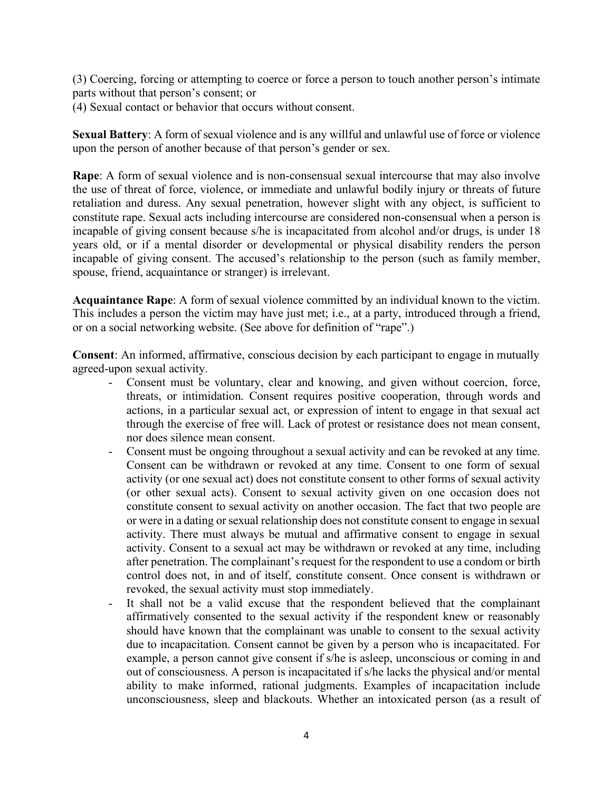(3) Coercing, forcing or attempting to coerce or force a person to touch another person's intimate parts without that person's consent; or

(4) Sexual contact or behavior that occurs without consent.

**Sexual Battery**: A form of sexual violence and is any willful and unlawful use of force or violence upon the person of another because of that person's gender or sex.

**Rape**: A form of sexual violence and is non-consensual sexual intercourse that may also involve the use of threat of force, violence, or immediate and unlawful bodily injury or threats of future retaliation and duress. Any sexual penetration, however slight with any object, is sufficient to constitute rape. Sexual acts including intercourse are considered non-consensual when a person is incapable of giving consent because s/he is incapacitated from alcohol and/or drugs, is under 18 years old, or if a mental disorder or developmental or physical disability renders the person incapable of giving consent. The accused's relationship to the person (such as family member, spouse, friend, acquaintance or stranger) is irrelevant.

**Acquaintance Rape**: A form of sexual violence committed by an individual known to the victim. This includes a person the victim may have just met; i.e., at a party, introduced through a friend, or on a social networking website. (See above for definition of "rape".)

**Consent**: An informed, affirmative, conscious decision by each participant to engage in mutually agreed-upon sexual activity.

- Consent must be voluntary, clear and knowing, and given without coercion, force, threats, or intimidation. Consent requires positive cooperation, through words and actions, in a particular sexual act, or expression of intent to engage in that sexual act through the exercise of free will. Lack of protest or resistance does not mean consent, nor does silence mean consent.
- Consent must be ongoing throughout a sexual activity and can be revoked at any time. Consent can be withdrawn or revoked at any time. Consent to one form of sexual activity (or one sexual act) does not constitute consent to other forms of sexual activity (or other sexual acts). Consent to sexual activity given on one occasion does not constitute consent to sexual activity on another occasion. The fact that two people are or were in a dating or sexual relationship does not constitute consent to engage in sexual activity. There must always be mutual and affirmative consent to engage in sexual activity. Consent to a sexual act may be withdrawn or revoked at any time, including after penetration. The complainant's request for the respondent to use a condom or birth control does not, in and of itself, constitute consent. Once consent is withdrawn or revoked, the sexual activity must stop immediately.
- It shall not be a valid excuse that the respondent believed that the complainant affirmatively consented to the sexual activity if the respondent knew or reasonably should have known that the complainant was unable to consent to the sexual activity due to incapacitation. Consent cannot be given by a person who is incapacitated. For example, a person cannot give consent if s/he is asleep, unconscious or coming in and out of consciousness. A person is incapacitated if s/he lacks the physical and/or mental ability to make informed, rational judgments. Examples of incapacitation include unconsciousness, sleep and blackouts. Whether an intoxicated person (as a result of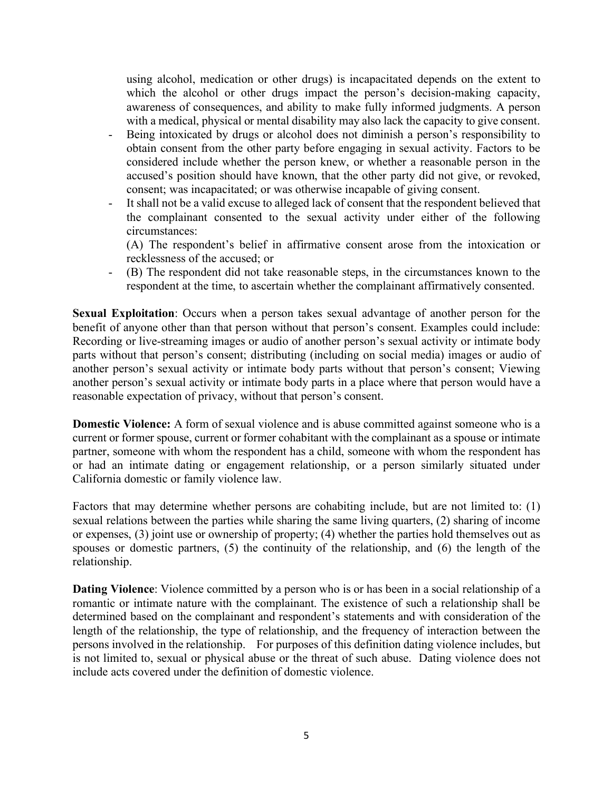using alcohol, medication or other drugs) is incapacitated depends on the extent to which the alcohol or other drugs impact the person's decision-making capacity, awareness of consequences, and ability to make fully informed judgments. A person with a medical, physical or mental disability may also lack the capacity to give consent.

- Being intoxicated by drugs or alcohol does not diminish a person's responsibility to obtain consent from the other party before engaging in sexual activity. Factors to be considered include whether the person knew, or whether a reasonable person in the accused's position should have known, that the other party did not give, or revoked, consent; was incapacitated; or was otherwise incapable of giving consent.
- It shall not be a valid excuse to alleged lack of consent that the respondent believed that the complainant consented to the sexual activity under either of the following circumstances:
	- (A) The respondent's belief in affirmative consent arose from the intoxication or recklessness of the accused; or
- (B) The respondent did not take reasonable steps, in the circumstances known to the respondent at the time, to ascertain whether the complainant affirmatively consented.

**Sexual Exploitation**: Occurs when a person takes sexual advantage of another person for the benefit of anyone other than that person without that person's consent. Examples could include: Recording or live-streaming images or audio of another person's sexual activity or intimate body parts without that person's consent; distributing (including on social media) images or audio of another person's sexual activity or intimate body parts without that person's consent; Viewing another person's sexual activity or intimate body parts in a place where that person would have a reasonable expectation of privacy, without that person's consent.

**Domestic Violence:** A form of sexual violence and is abuse committed against someone who is a current or former spouse, current or former cohabitant with the complainant as a spouse or intimate partner, someone with whom the respondent has a child, someone with whom the respondent has or had an intimate dating or engagement relationship, or a person similarly situated under California domestic or family violence law.

Factors that may determine whether persons are cohabiting include, but are not limited to: (1) sexual relations between the parties while sharing the same living quarters, (2) sharing of income or expenses, (3) joint use or ownership of property; (4) whether the parties hold themselves out as spouses or domestic partners, (5) the continuity of the relationship, and (6) the length of the relationship.

**Dating Violence**: Violence committed by a person who is or has been in a social relationship of a romantic or intimate nature with the complainant. The existence of such a relationship shall be determined based on the complainant and respondent's statements and with consideration of the length of the relationship, the type of relationship, and the frequency of interaction between the persons involved in the relationship. For purposes of this definition dating violence includes, but is not limited to, sexual or physical abuse or the threat of such abuse. Dating violence does not include acts covered under the definition of domestic violence.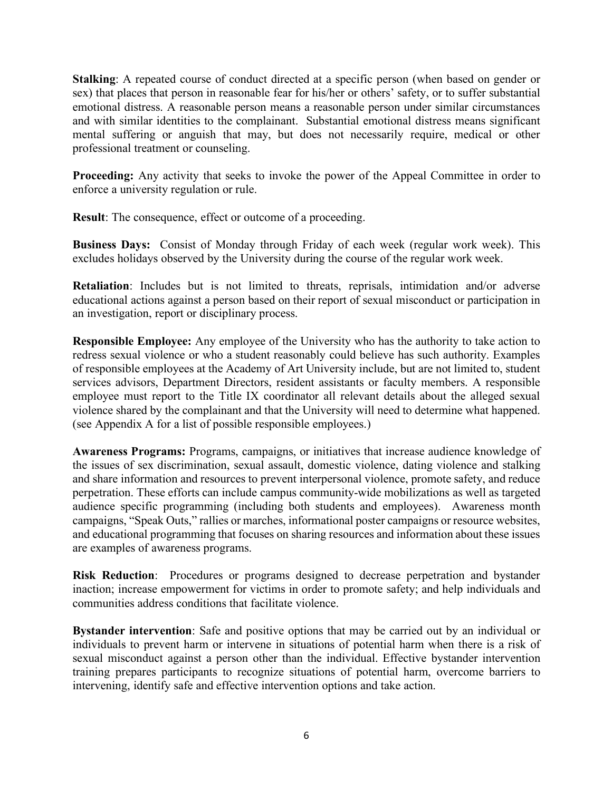**Stalking**: A repeated course of conduct directed at a specific person (when based on gender or sex) that places that person in reasonable fear for his/her or others' safety, or to suffer substantial emotional distress. A reasonable person means a reasonable person under similar circumstances and with similar identities to the complainant. Substantial emotional distress means significant mental suffering or anguish that may, but does not necessarily require, medical or other professional treatment or counseling.

**Proceeding:** Any activity that seeks to invoke the power of the Appeal Committee in order to enforce a university regulation or rule.

**Result**: The consequence, effect or outcome of a proceeding.

**Business Days:** Consist of Monday through Friday of each week (regular work week). This excludes holidays observed by the University during the course of the regular work week.

**Retaliation**: Includes but is not limited to threats, reprisals, intimidation and/or adverse educational actions against a person based on their report of sexual misconduct or participation in an investigation, report or disciplinary process.

**Responsible Employee:** Any employee of the University who has the authority to take action to redress sexual violence or who a student reasonably could believe has such authority. Examples of responsible employees at the Academy of Art University include, but are not limited to, student services advisors, Department Directors, resident assistants or faculty members. A responsible employee must report to the Title IX coordinator all relevant details about the alleged sexual violence shared by the complainant and that the University will need to determine what happened. (see Appendix A for a list of possible responsible employees.)

**Awareness Programs:** Programs, campaigns, or initiatives that increase audience knowledge of the issues of sex discrimination, sexual assault, domestic violence, dating violence and stalking and share information and resources to prevent interpersonal violence, promote safety, and reduce perpetration. These efforts can include campus community-wide mobilizations as well as targeted audience specific programming (including both students and employees). Awareness month campaigns, "Speak Outs," rallies or marches, informational poster campaigns or resource websites, and educational programming that focuses on sharing resources and information about these issues are examples of awareness programs.

**Risk Reduction**: Procedures or programs designed to decrease perpetration and bystander inaction; increase empowerment for victims in order to promote safety; and help individuals and communities address conditions that facilitate violence.

**Bystander intervention**: Safe and positive options that may be carried out by an individual or individuals to prevent harm or intervene in situations of potential harm when there is a risk of sexual misconduct against a person other than the individual. Effective bystander intervention training prepares participants to recognize situations of potential harm, overcome barriers to intervening, identify safe and effective intervention options and take action.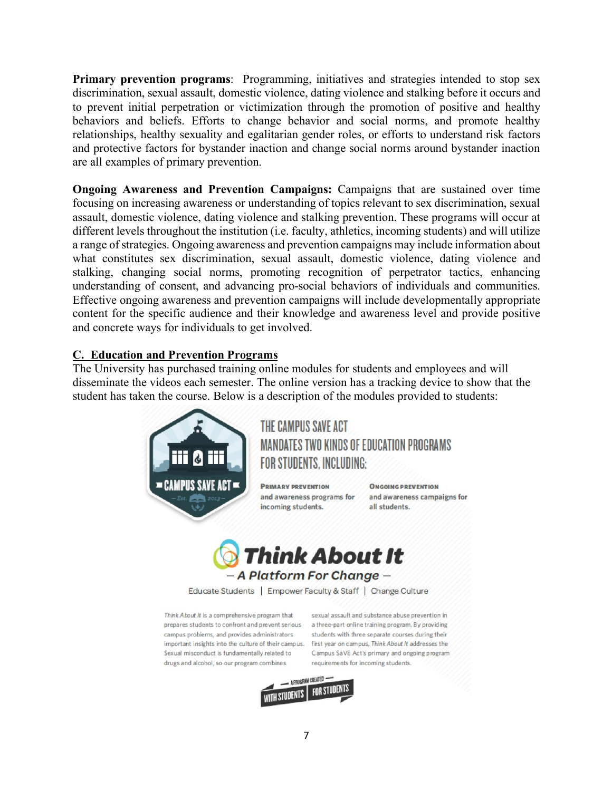**Primary prevention programs**: Programming, initiatives and strategies intended to stop sex discrimination, sexual assault, domestic violence, dating violence and stalking before it occurs and to prevent initial perpetration or victimization through the promotion of positive and healthy behaviors and beliefs. Efforts to change behavior and social norms, and promote healthy relationships, healthy sexuality and egalitarian gender roles, or efforts to understand risk factors and protective factors for bystander inaction and change social norms around bystander inaction are all examples of primary prevention.

**Ongoing Awareness and Prevention Campaigns:** Campaigns that are sustained over time focusing on increasing awareness or understanding of topics relevant to sex discrimination, sexual assault, domestic violence, dating violence and stalking prevention. These programs will occur at different levels throughout the institution (i.e. faculty, athletics, incoming students) and will utilize a range of strategies. Ongoing awareness and prevention campaigns may include information about what constitutes sex discrimination, sexual assault, domestic violence, dating violence and stalking, changing social norms, promoting recognition of perpetrator tactics, enhancing understanding of consent, and advancing pro-social behaviors of individuals and communities. Effective ongoing awareness and prevention campaigns will include developmentally appropriate content for the specific audience and their knowledge and awareness level and provide positive and concrete ways for individuals to get involved.

## **C. Education and Prevention Programs**

The University has purchased training online modules for students and employees and will disseminate the videos each semester. The online version has a tracking device to show that the student has taken the course. Below is a description of the modules provided to students:



THE CAMPUS SAVE ACT **MANDATES TWO KINDS OF EDUCATION PROGRAMS** FOR STUDENTS, INCLUDING:

**PRIMARY PREVENTION** incoming students.

**ONGOING PREVENTION** and awareness programs for and awareness campaigns for all students.



Educate Students | Empower Faculty & Staff | Change Culture

Think About It is a comprehensive program that prepares students to confront and prevent serious a three-part online training program. By providing campus problems, and provides administrators important insights into the culture of their campus. first year on campus, Think About It addresses the Sexual misconduct is fundamentally related to drugs and alcohol, so our program combines

sexual assault and substance abuse prevention in students with three separate courses during their Campus SaVE Act's primary and ongoing program requirements for incoming students.

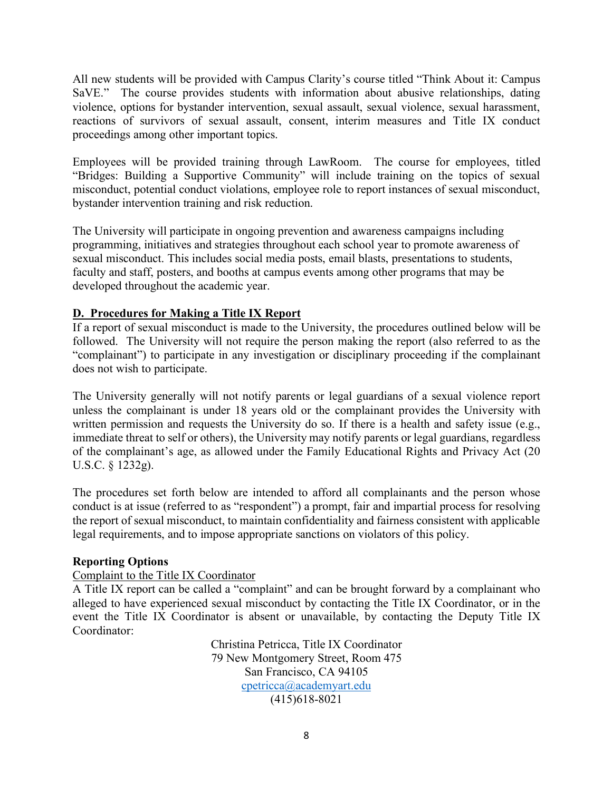All new students will be provided with Campus Clarity's course titled "Think About it: Campus SaVE." The course provides students with information about abusive relationships, dating violence, options for bystander intervention, sexual assault, sexual violence, sexual harassment, reactions of survivors of sexual assault, consent, interim measures and Title IX conduct proceedings among other important topics.

Employees will be provided training through LawRoom. The course for employees, titled "Bridges: Building a Supportive Community" will include training on the topics of sexual misconduct, potential conduct violations, employee role to report instances of sexual misconduct, bystander intervention training and risk reduction.

The University will participate in ongoing prevention and awareness campaigns including programming, initiatives and strategies throughout each school year to promote awareness of sexual misconduct. This includes social media posts, email blasts, presentations to students, faculty and staff, posters, and booths at campus events among other programs that may be developed throughout the academic year.

## **D. Procedures for Making a Title IX Report**

If a report of sexual misconduct is made to the University, the procedures outlined below will be followed. The University will not require the person making the report (also referred to as the "complainant") to participate in any investigation or disciplinary proceeding if the complainant does not wish to participate.

The University generally will not notify parents or legal guardians of a sexual violence report unless the complainant is under 18 years old or the complainant provides the University with written permission and requests the University do so. If there is a health and safety issue (e.g., immediate threat to self or others), the University may notify parents or legal guardians, regardless of the complainant's age, as allowed under the Family Educational Rights and Privacy Act (20 U.S.C. § 1232g).

The procedures set forth below are intended to afford all complainants and the person whose conduct is at issue (referred to as "respondent") a prompt, fair and impartial process for resolving the report of sexual misconduct, to maintain confidentiality and fairness consistent with applicable legal requirements, and to impose appropriate sanctions on violators of this policy.

#### **Reporting Options**

#### Complaint to the Title IX Coordinator

A Title IX report can be called a "complaint" and can be brought forward by a complainant who alleged to have experienced sexual misconduct by contacting the Title IX Coordinator, or in the event the Title IX Coordinator is absent or unavailable, by contacting the Deputy Title IX Coordinator:

> Christina Petricca, Title IX Coordinator 79 New Montgomery Street, Room 475 San Francisco, CA 94105 cpetricca@academyart.edu (415)618-8021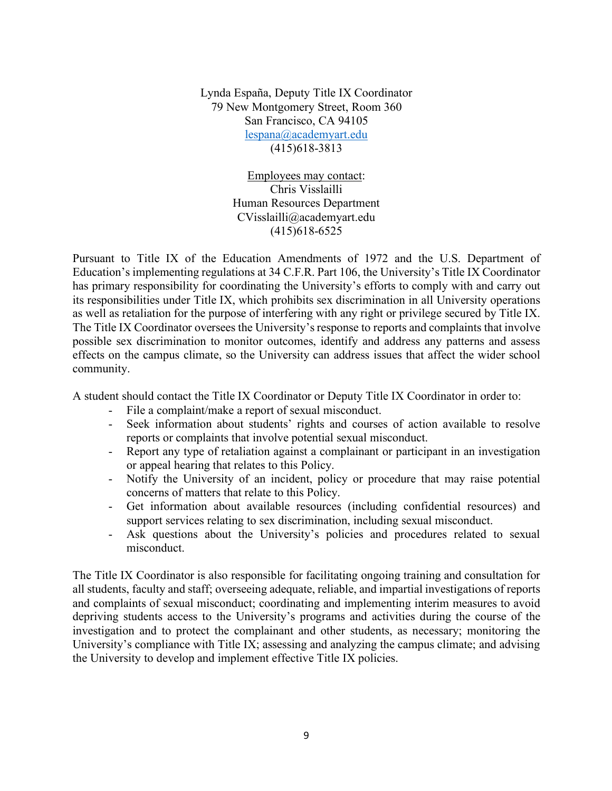Lynda España, Deputy Title IX Coordinator 79 New Montgomery Street, Room 360 San Francisco, CA 94105 lespana@academyart.edu (415)618-3813

> Employees may contact: Chris Visslailli Human Resources Department CVisslailli@academyart.edu (415)618-6525

Pursuant to Title IX of the Education Amendments of 1972 and the U.S. Department of Education's implementing regulations at 34 C.F.R. Part 106, the University's Title IX Coordinator has primary responsibility for coordinating the University's efforts to comply with and carry out its responsibilities under Title IX, which prohibits sex discrimination in all University operations as well as retaliation for the purpose of interfering with any right or privilege secured by Title IX. The Title IX Coordinator oversees the University's response to reports and complaints that involve possible sex discrimination to monitor outcomes, identify and address any patterns and assess effects on the campus climate, so the University can address issues that affect the wider school community.

A student should contact the Title IX Coordinator or Deputy Title IX Coordinator in order to:

- File a complaint/make a report of sexual misconduct.
- Seek information about students' rights and courses of action available to resolve reports or complaints that involve potential sexual misconduct.
- Report any type of retaliation against a complainant or participant in an investigation or appeal hearing that relates to this Policy.
- Notify the University of an incident, policy or procedure that may raise potential concerns of matters that relate to this Policy.
- Get information about available resources (including confidential resources) and support services relating to sex discrimination, including sexual misconduct.
- Ask questions about the University's policies and procedures related to sexual misconduct.

The Title IX Coordinator is also responsible for facilitating ongoing training and consultation for all students, faculty and staff; overseeing adequate, reliable, and impartial investigations of reports and complaints of sexual misconduct; coordinating and implementing interim measures to avoid depriving students access to the University's programs and activities during the course of the investigation and to protect the complainant and other students, as necessary; monitoring the University's compliance with Title IX; assessing and analyzing the campus climate; and advising the University to develop and implement effective Title IX policies.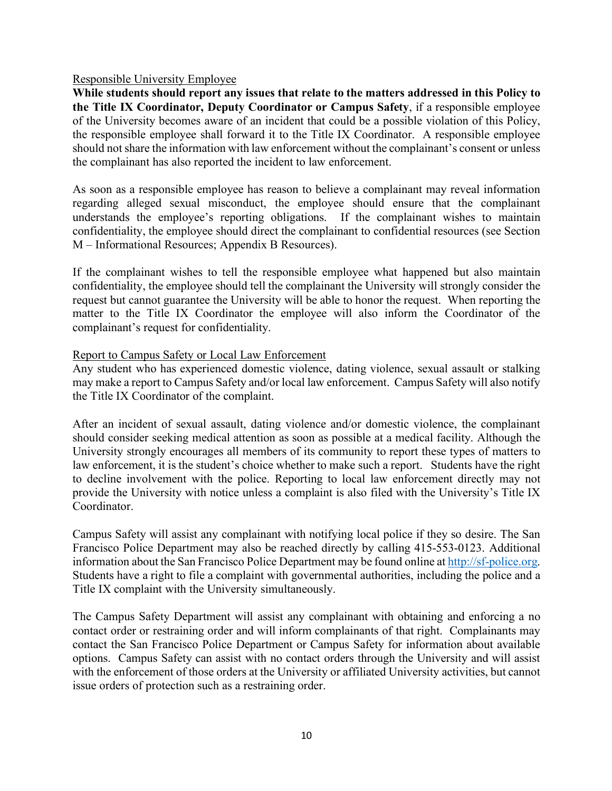#### Responsible University Employee

**While students should report any issues that relate to the matters addressed in this Policy to the Title IX Coordinator, Deputy Coordinator or Campus Safety**, if a responsible employee of the University becomes aware of an incident that could be a possible violation of this Policy, the responsible employee shall forward it to the Title IX Coordinator. A responsible employee should not share the information with law enforcement without the complainant's consent or unless the complainant has also reported the incident to law enforcement.

As soon as a responsible employee has reason to believe a complainant may reveal information regarding alleged sexual misconduct, the employee should ensure that the complainant understands the employee's reporting obligations. If the complainant wishes to maintain confidentiality, the employee should direct the complainant to confidential resources (see Section M – Informational Resources; Appendix B Resources).

If the complainant wishes to tell the responsible employee what happened but also maintain confidentiality, the employee should tell the complainant the University will strongly consider the request but cannot guarantee the University will be able to honor the request. When reporting the matter to the Title IX Coordinator the employee will also inform the Coordinator of the complainant's request for confidentiality.

#### Report to Campus Safety or Local Law Enforcement

Any student who has experienced domestic violence, dating violence, sexual assault or stalking may make a report to Campus Safety and/or local law enforcement. Campus Safety will also notify the Title IX Coordinator of the complaint.

After an incident of sexual assault, dating violence and/or domestic violence, the complainant should consider seeking medical attention as soon as possible at a medical facility. Although the University strongly encourages all members of its community to report these types of matters to law enforcement, it is the student's choice whether to make such a report. Students have the right to decline involvement with the police. Reporting to local law enforcement directly may not provide the University with notice unless a complaint is also filed with the University's Title IX Coordinator.

Campus Safety will assist any complainant with notifying local police if they so desire. The San Francisco Police Department may also be reached directly by calling 415-553-0123. Additional information about the San Francisco Police Department may be found online at http://sf-police.org. Students have a right to file a complaint with governmental authorities, including the police and a Title IX complaint with the University simultaneously.

The Campus Safety Department will assist any complainant with obtaining and enforcing a no contact order or restraining order and will inform complainants of that right. Complainants may contact the San Francisco Police Department or Campus Safety for information about available options. Campus Safety can assist with no contact orders through the University and will assist with the enforcement of those orders at the University or affiliated University activities, but cannot issue orders of protection such as a restraining order.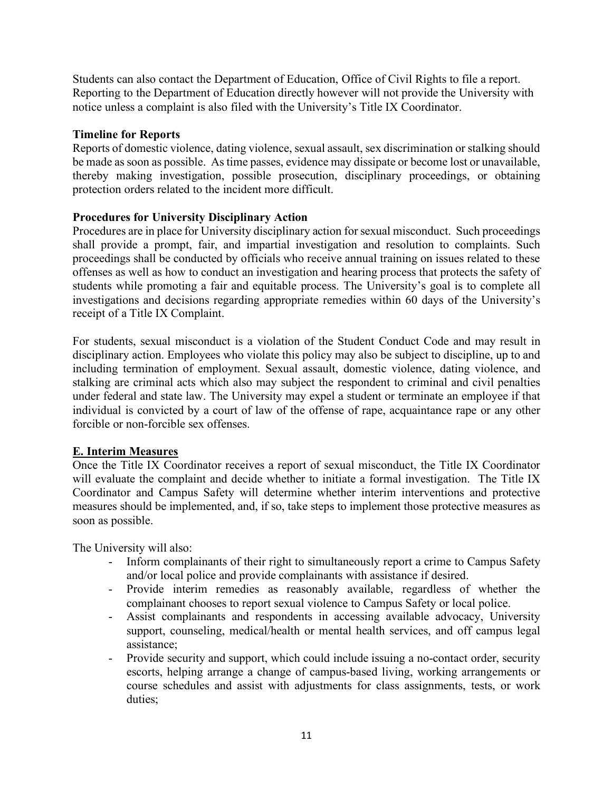Students can also contact the Department of Education, Office of Civil Rights to file a report. Reporting to the Department of Education directly however will not provide the University with notice unless a complaint is also filed with the University's Title IX Coordinator.

## **Timeline for Reports**

Reports of domestic violence, dating violence, sexual assault, sex discrimination or stalking should be made as soon as possible. As time passes, evidence may dissipate or become lost or unavailable, thereby making investigation, possible prosecution, disciplinary proceedings, or obtaining protection orders related to the incident more difficult.

## **Procedures for University Disciplinary Action**

Procedures are in place for University disciplinary action for sexual misconduct. Such proceedings shall provide a prompt, fair, and impartial investigation and resolution to complaints. Such proceedings shall be conducted by officials who receive annual training on issues related to these offenses as well as how to conduct an investigation and hearing process that protects the safety of students while promoting a fair and equitable process. The University's goal is to complete all investigations and decisions regarding appropriate remedies within 60 days of the University's receipt of a Title IX Complaint.

For students, sexual misconduct is a violation of the Student Conduct Code and may result in disciplinary action. Employees who violate this policy may also be subject to discipline, up to and including termination of employment. Sexual assault, domestic violence, dating violence, and stalking are criminal acts which also may subject the respondent to criminal and civil penalties under federal and state law. The University may expel a student or terminate an employee if that individual is convicted by a court of law of the offense of rape, acquaintance rape or any other forcible or non-forcible sex offenses.

#### **E. Interim Measures**

Once the Title IX Coordinator receives a report of sexual misconduct, the Title IX Coordinator will evaluate the complaint and decide whether to initiate a formal investigation. The Title IX Coordinator and Campus Safety will determine whether interim interventions and protective measures should be implemented, and, if so, take steps to implement those protective measures as soon as possible.

The University will also:

- Inform complainants of their right to simultaneously report a crime to Campus Safety and/or local police and provide complainants with assistance if desired.
- Provide interim remedies as reasonably available, regardless of whether the complainant chooses to report sexual violence to Campus Safety or local police.
- Assist complainants and respondents in accessing available advocacy, University support, counseling, medical/health or mental health services, and off campus legal assistance;
- Provide security and support, which could include issuing a no-contact order, security escorts, helping arrange a change of campus-based living, working arrangements or course schedules and assist with adjustments for class assignments, tests, or work duties;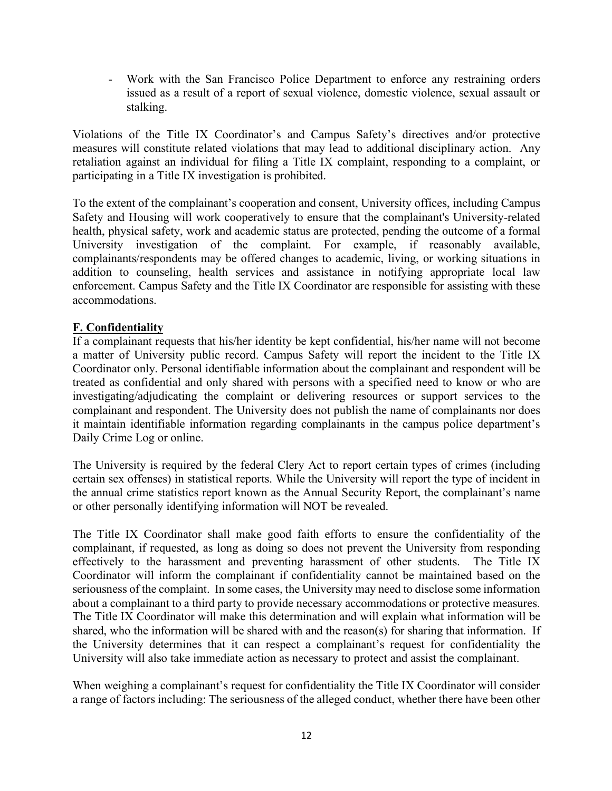- Work with the San Francisco Police Department to enforce any restraining orders issued as a result of a report of sexual violence, domestic violence, sexual assault or stalking.

Violations of the Title IX Coordinator's and Campus Safety's directives and/or protective measures will constitute related violations that may lead to additional disciplinary action. Any retaliation against an individual for filing a Title IX complaint, responding to a complaint, or participating in a Title IX investigation is prohibited.

To the extent of the complainant's cooperation and consent, University offices, including Campus Safety and Housing will work cooperatively to ensure that the complainant's University-related health, physical safety, work and academic status are protected, pending the outcome of a formal University investigation of the complaint. For example, if reasonably available, complainants/respondents may be offered changes to academic, living, or working situations in addition to counseling, health services and assistance in notifying appropriate local law enforcement. Campus Safety and the Title IX Coordinator are responsible for assisting with these accommodations.

## **F. Confidentiality**

If a complainant requests that his/her identity be kept confidential, his/her name will not become a matter of University public record. Campus Safety will report the incident to the Title IX Coordinator only. Personal identifiable information about the complainant and respondent will be treated as confidential and only shared with persons with a specified need to know or who are investigating/adjudicating the complaint or delivering resources or support services to the complainant and respondent. The University does not publish the name of complainants nor does it maintain identifiable information regarding complainants in the campus police department's Daily Crime Log or online.

The University is required by the federal Clery Act to report certain types of crimes (including certain sex offenses) in statistical reports. While the University will report the type of incident in the annual crime statistics report known as the Annual Security Report, the complainant's name or other personally identifying information will NOT be revealed.

The Title IX Coordinator shall make good faith efforts to ensure the confidentiality of the complainant, if requested, as long as doing so does not prevent the University from responding effectively to the harassment and preventing harassment of other students. The Title IX Coordinator will inform the complainant if confidentiality cannot be maintained based on the seriousness of the complaint. In some cases, the University may need to disclose some information about a complainant to a third party to provide necessary accommodations or protective measures. The Title IX Coordinator will make this determination and will explain what information will be shared, who the information will be shared with and the reason(s) for sharing that information. If the University determines that it can respect a complainant's request for confidentiality the University will also take immediate action as necessary to protect and assist the complainant.

When weighing a complainant's request for confidentiality the Title IX Coordinator will consider a range of factors including: The seriousness of the alleged conduct, whether there have been other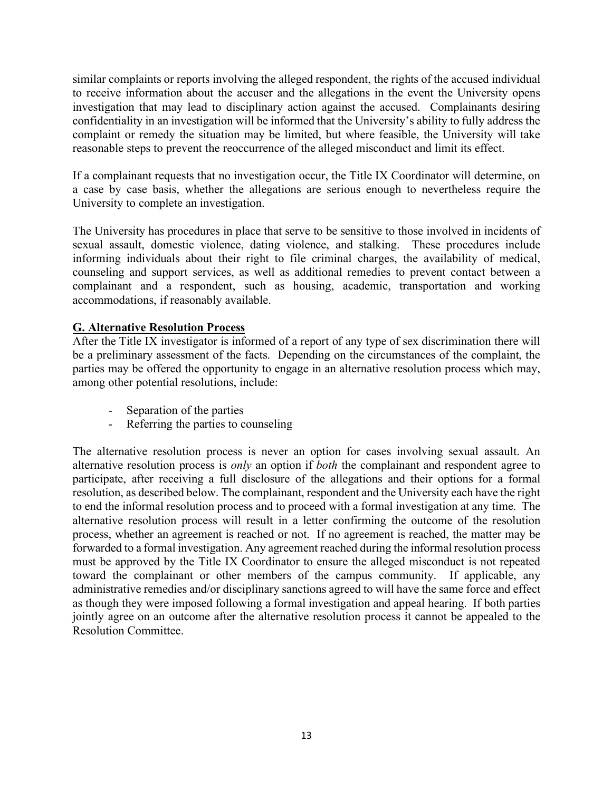similar complaints or reports involving the alleged respondent, the rights of the accused individual to receive information about the accuser and the allegations in the event the University opens investigation that may lead to disciplinary action against the accused. Complainants desiring confidentiality in an investigation will be informed that the University's ability to fully address the complaint or remedy the situation may be limited, but where feasible, the University will take reasonable steps to prevent the reoccurrence of the alleged misconduct and limit its effect.

If a complainant requests that no investigation occur, the Title IX Coordinator will determine, on a case by case basis, whether the allegations are serious enough to nevertheless require the University to complete an investigation.

The University has procedures in place that serve to be sensitive to those involved in incidents of sexual assault, domestic violence, dating violence, and stalking. These procedures include informing individuals about their right to file criminal charges, the availability of medical, counseling and support services, as well as additional remedies to prevent contact between a complainant and a respondent, such as housing, academic, transportation and working accommodations, if reasonably available.

## **G. Alternative Resolution Process**

After the Title IX investigator is informed of a report of any type of sex discrimination there will be a preliminary assessment of the facts. Depending on the circumstances of the complaint, the parties may be offered the opportunity to engage in an alternative resolution process which may, among other potential resolutions, include:

- Separation of the parties
- Referring the parties to counseling

The alternative resolution process is never an option for cases involving sexual assault. An alternative resolution process is *only* an option if *both* the complainant and respondent agree to participate, after receiving a full disclosure of the allegations and their options for a formal resolution, as described below. The complainant, respondent and the University each have the right to end the informal resolution process and to proceed with a formal investigation at any time. The alternative resolution process will result in a letter confirming the outcome of the resolution process, whether an agreement is reached or not. If no agreement is reached, the matter may be forwarded to a formal investigation. Any agreement reached during the informal resolution process must be approved by the Title IX Coordinator to ensure the alleged misconduct is not repeated toward the complainant or other members of the campus community. If applicable, any administrative remedies and/or disciplinary sanctions agreed to will have the same force and effect as though they were imposed following a formal investigation and appeal hearing. If both parties jointly agree on an outcome after the alternative resolution process it cannot be appealed to the Resolution Committee.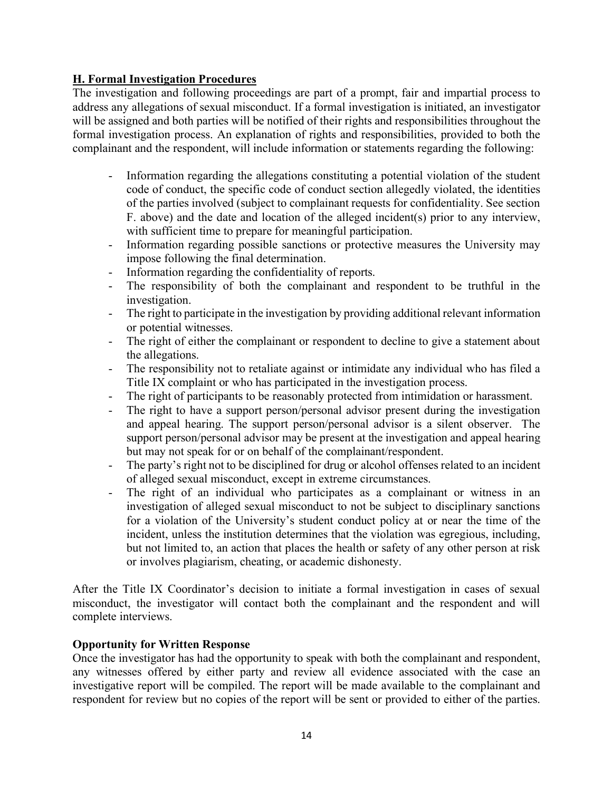## **H. Formal Investigation Procedures**

The investigation and following proceedings are part of a prompt, fair and impartial process to address any allegations of sexual misconduct. If a formal investigation is initiated, an investigator will be assigned and both parties will be notified of their rights and responsibilities throughout the formal investigation process. An explanation of rights and responsibilities, provided to both the complainant and the respondent, will include information or statements regarding the following:

- Information regarding the allegations constituting a potential violation of the student code of conduct, the specific code of conduct section allegedly violated, the identities of the parties involved (subject to complainant requests for confidentiality. See section F. above) and the date and location of the alleged incident(s) prior to any interview, with sufficient time to prepare for meaningful participation.
- Information regarding possible sanctions or protective measures the University may impose following the final determination.
- Information regarding the confidentiality of reports.
- The responsibility of both the complainant and respondent to be truthful in the investigation.
- The right to participate in the investigation by providing additional relevant information or potential witnesses.
- The right of either the complainant or respondent to decline to give a statement about the allegations.
- The responsibility not to retaliate against or intimidate any individual who has filed a Title IX complaint or who has participated in the investigation process.
- The right of participants to be reasonably protected from intimidation or harassment.
- The right to have a support person/personal advisor present during the investigation and appeal hearing. The support person/personal advisor is a silent observer. The support person/personal advisor may be present at the investigation and appeal hearing but may not speak for or on behalf of the complainant/respondent.
- The party's right not to be disciplined for drug or alcohol offenses related to an incident of alleged sexual misconduct, except in extreme circumstances.
- The right of an individual who participates as a complainant or witness in an investigation of alleged sexual misconduct to not be subject to disciplinary sanctions for a violation of the University's student conduct policy at or near the time of the incident, unless the institution determines that the violation was egregious, including, but not limited to, an action that places the health or safety of any other person at risk or involves plagiarism, cheating, or academic dishonesty.

After the Title IX Coordinator's decision to initiate a formal investigation in cases of sexual misconduct, the investigator will contact both the complainant and the respondent and will complete interviews.

## **Opportunity for Written Response**

Once the investigator has had the opportunity to speak with both the complainant and respondent, any witnesses offered by either party and review all evidence associated with the case an investigative report will be compiled. The report will be made available to the complainant and respondent for review but no copies of the report will be sent or provided to either of the parties.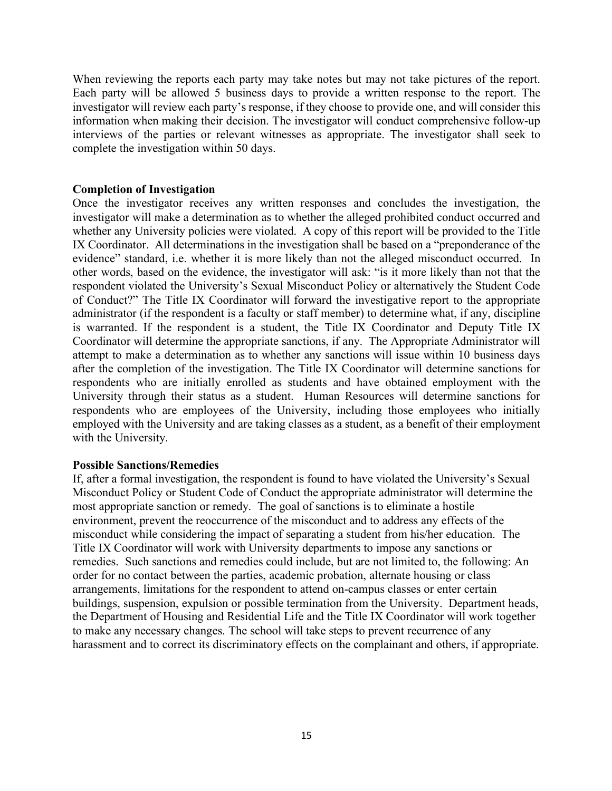When reviewing the reports each party may take notes but may not take pictures of the report. Each party will be allowed 5 business days to provide a written response to the report. The investigator will review each party's response, if they choose to provide one, and will consider this information when making their decision. The investigator will conduct comprehensive follow-up interviews of the parties or relevant witnesses as appropriate. The investigator shall seek to complete the investigation within 50 days.

#### **Completion of Investigation**

Once the investigator receives any written responses and concludes the investigation, the investigator will make a determination as to whether the alleged prohibited conduct occurred and whether any University policies were violated. A copy of this report will be provided to the Title IX Coordinator. All determinations in the investigation shall be based on a "preponderance of the evidence" standard, i.e. whether it is more likely than not the alleged misconduct occurred. In other words, based on the evidence, the investigator will ask: "is it more likely than not that the respondent violated the University's Sexual Misconduct Policy or alternatively the Student Code of Conduct?" The Title IX Coordinator will forward the investigative report to the appropriate administrator (if the respondent is a faculty or staff member) to determine what, if any, discipline is warranted. If the respondent is a student, the Title IX Coordinator and Deputy Title IX Coordinator will determine the appropriate sanctions, if any. The Appropriate Administrator will attempt to make a determination as to whether any sanctions will issue within 10 business days after the completion of the investigation. The Title IX Coordinator will determine sanctions for respondents who are initially enrolled as students and have obtained employment with the University through their status as a student. Human Resources will determine sanctions for respondents who are employees of the University, including those employees who initially employed with the University and are taking classes as a student, as a benefit of their employment with the University.

#### **Possible Sanctions/Remedies**

If, after a formal investigation, the respondent is found to have violated the University's Sexual Misconduct Policy or Student Code of Conduct the appropriate administrator will determine the most appropriate sanction or remedy. The goal of sanctions is to eliminate a hostile environment, prevent the reoccurrence of the misconduct and to address any effects of the misconduct while considering the impact of separating a student from his/her education. The Title IX Coordinator will work with University departments to impose any sanctions or remedies. Such sanctions and remedies could include, but are not limited to, the following: An order for no contact between the parties, academic probation, alternate housing or class arrangements, limitations for the respondent to attend on-campus classes or enter certain buildings, suspension, expulsion or possible termination from the University. Department heads, the Department of Housing and Residential Life and the Title IX Coordinator will work together to make any necessary changes. The school will take steps to prevent recurrence of any harassment and to correct its discriminatory effects on the complainant and others, if appropriate.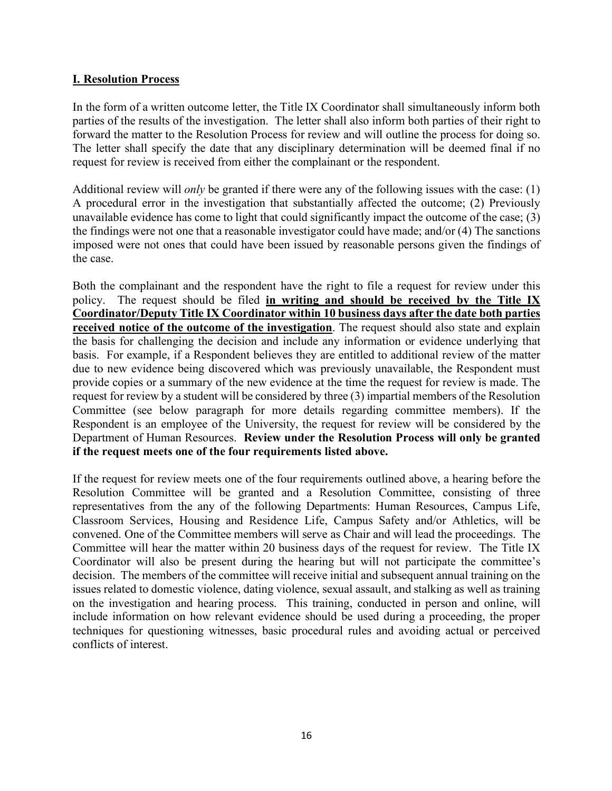## **I. Resolution Process**

In the form of a written outcome letter, the Title IX Coordinator shall simultaneously inform both parties of the results of the investigation. The letter shall also inform both parties of their right to forward the matter to the Resolution Process for review and will outline the process for doing so. The letter shall specify the date that any disciplinary determination will be deemed final if no request for review is received from either the complainant or the respondent.

Additional review will *only* be granted if there were any of the following issues with the case: (1) A procedural error in the investigation that substantially affected the outcome; (2) Previously unavailable evidence has come to light that could significantly impact the outcome of the case; (3) the findings were not one that a reasonable investigator could have made; and/or (4) The sanctions imposed were not ones that could have been issued by reasonable persons given the findings of the case.

Both the complainant and the respondent have the right to file a request for review under this policy. The request should be filed **in writing and should be received by the Title IX Coordinator/Deputy Title IX Coordinator within 10 business days after the date both parties received notice of the outcome of the investigation**. The request should also state and explain the basis for challenging the decision and include any information or evidence underlying that basis. For example, if a Respondent believes they are entitled to additional review of the matter due to new evidence being discovered which was previously unavailable, the Respondent must provide copies or a summary of the new evidence at the time the request for review is made. The request for review by a student will be considered by three (3) impartial members of the Resolution Committee (see below paragraph for more details regarding committee members). If the Respondent is an employee of the University, the request for review will be considered by the Department of Human Resources. **Review under the Resolution Process will only be granted if the request meets one of the four requirements listed above.**

If the request for review meets one of the four requirements outlined above, a hearing before the Resolution Committee will be granted and a Resolution Committee, consisting of three representatives from the any of the following Departments: Human Resources, Campus Life, Classroom Services, Housing and Residence Life, Campus Safety and/or Athletics, will be convened. One of the Committee members will serve as Chair and will lead the proceedings. The Committee will hear the matter within 20 business days of the request for review. The Title IX Coordinator will also be present during the hearing but will not participate the committee's decision. The members of the committee will receive initial and subsequent annual training on the issues related to domestic violence, dating violence, sexual assault, and stalking as well as training on the investigation and hearing process. This training, conducted in person and online, will include information on how relevant evidence should be used during a proceeding, the proper techniques for questioning witnesses, basic procedural rules and avoiding actual or perceived conflicts of interest.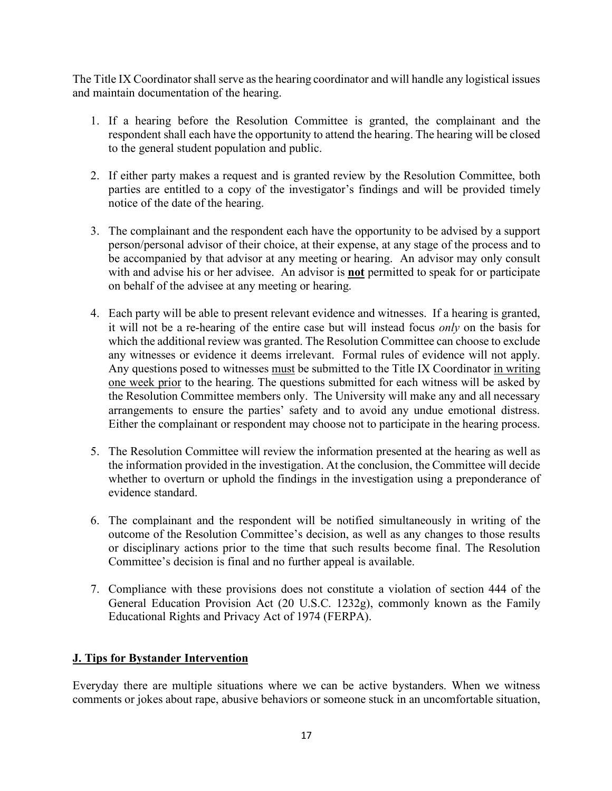The Title IX Coordinator shall serve as the hearing coordinator and will handle any logistical issues and maintain documentation of the hearing.

- 1. If a hearing before the Resolution Committee is granted, the complainant and the respondent shall each have the opportunity to attend the hearing. The hearing will be closed to the general student population and public.
- 2. If either party makes a request and is granted review by the Resolution Committee, both parties are entitled to a copy of the investigator's findings and will be provided timely notice of the date of the hearing.
- 3. The complainant and the respondent each have the opportunity to be advised by a support person/personal advisor of their choice, at their expense, at any stage of the process and to be accompanied by that advisor at any meeting or hearing. An advisor may only consult with and advise his or her advisee. An advisor is **not** permitted to speak for or participate on behalf of the advisee at any meeting or hearing.
- 4. Each party will be able to present relevant evidence and witnesses. If a hearing is granted, it will not be a re-hearing of the entire case but will instead focus *only* on the basis for which the additional review was granted. The Resolution Committee can choose to exclude any witnesses or evidence it deems irrelevant. Formal rules of evidence will not apply. Any questions posed to witnesses must be submitted to the Title IX Coordinator in writing one week prior to the hearing. The questions submitted for each witness will be asked by the Resolution Committee members only. The University will make any and all necessary arrangements to ensure the parties' safety and to avoid any undue emotional distress. Either the complainant or respondent may choose not to participate in the hearing process.
- 5. The Resolution Committee will review the information presented at the hearing as well as the information provided in the investigation. At the conclusion, the Committee will decide whether to overturn or uphold the findings in the investigation using a preponderance of evidence standard.
- 6. The complainant and the respondent will be notified simultaneously in writing of the outcome of the Resolution Committee's decision, as well as any changes to those results or disciplinary actions prior to the time that such results become final. The Resolution Committee's decision is final and no further appeal is available.
- 7. Compliance with these provisions does not constitute a violation of section 444 of the General Education Provision Act (20 U.S.C. 1232g), commonly known as the Family Educational Rights and Privacy Act of 1974 (FERPA).

## **J. Tips for Bystander Intervention**

Everyday there are multiple situations where we can be active bystanders. When we witness comments or jokes about rape, abusive behaviors or someone stuck in an uncomfortable situation,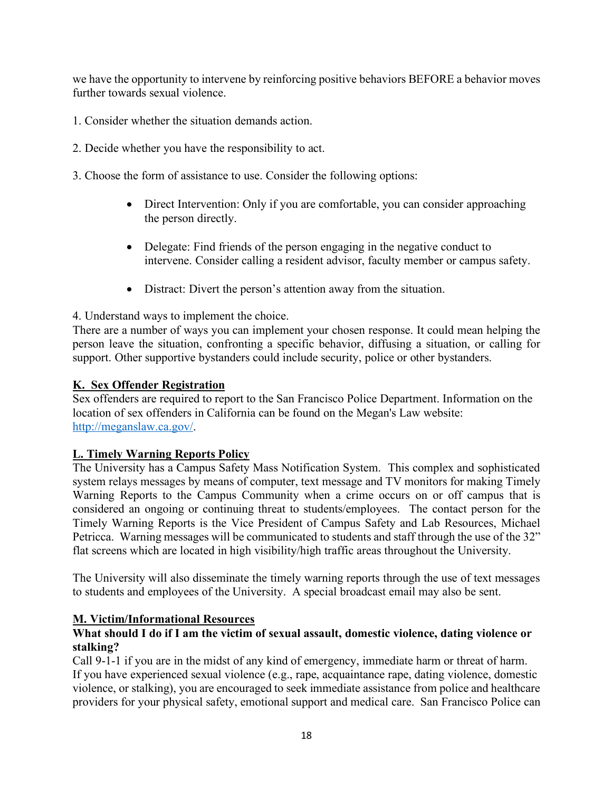we have the opportunity to intervene by reinforcing positive behaviors BEFORE a behavior moves further towards sexual violence.

- 1. Consider whether the situation demands action.
- 2. Decide whether you have the responsibility to act.
- 3. Choose the form of assistance to use. Consider the following options:
	- Direct Intervention: Only if you are comfortable, you can consider approaching the person directly.
	- Delegate: Find friends of the person engaging in the negative conduct to intervene. Consider calling a resident advisor, faculty member or campus safety.
	- Distract: Divert the person's attention away from the situation.

4. Understand ways to implement the choice.

There are a number of ways you can implement your chosen response. It could mean helping the person leave the situation, confronting a specific behavior, diffusing a situation, or calling for support. Other supportive bystanders could include security, police or other bystanders.

#### **K. Sex Offender Registration**

Sex offenders are required to report to the San Francisco Police Department. Information on the location of sex offenders in California can be found on the Megan's Law website: http://meganslaw.ca.gov/.

#### **L. Timely Warning Reports Policy**

The University has a Campus Safety Mass Notification System. This complex and sophisticated system relays messages by means of computer, text message and TV monitors for making Timely Warning Reports to the Campus Community when a crime occurs on or off campus that is considered an ongoing or continuing threat to students/employees. The contact person for the Timely Warning Reports is the Vice President of Campus Safety and Lab Resources, Michael Petricca. Warning messages will be communicated to students and staff through the use of the 32" flat screens which are located in high visibility/high traffic areas throughout the University.

The University will also disseminate the timely warning reports through the use of text messages to students and employees of the University. A special broadcast email may also be sent.

#### **M. Victim/Informational Resources**

## **What should I do if I am the victim of sexual assault, domestic violence, dating violence or stalking?**

Call 9-1-1 if you are in the midst of any kind of emergency, immediate harm or threat of harm. If you have experienced sexual violence (e.g., rape, acquaintance rape, dating violence, domestic violence, or stalking), you are encouraged to seek immediate assistance from police and healthcare providers for your physical safety, emotional support and medical care. San Francisco Police can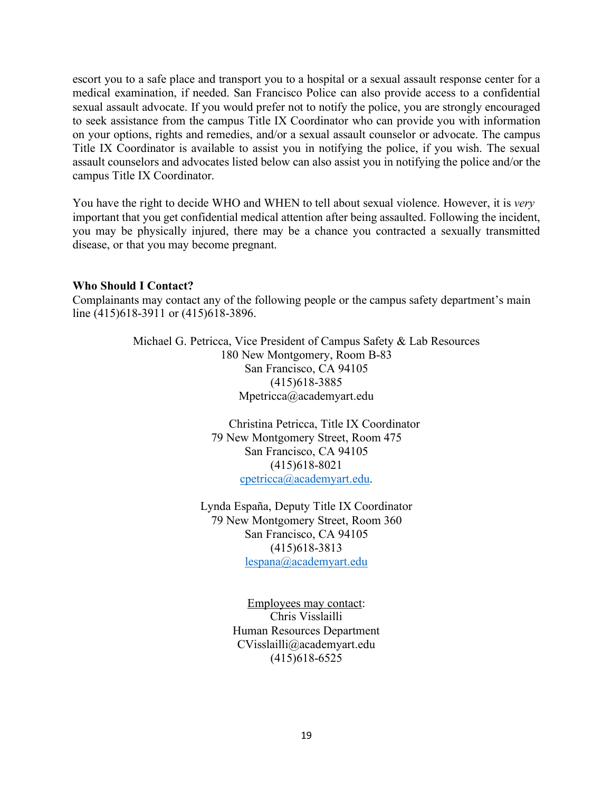escort you to a safe place and transport you to a hospital or a sexual assault response center for a medical examination, if needed. San Francisco Police can also provide access to a confidential sexual assault advocate. If you would prefer not to notify the police, you are strongly encouraged to seek assistance from the campus Title IX Coordinator who can provide you with information on your options, rights and remedies, and/or a sexual assault counselor or advocate. The campus Title IX Coordinator is available to assist you in notifying the police, if you wish. The sexual assault counselors and advocates listed below can also assist you in notifying the police and/or the campus Title IX Coordinator.

You have the right to decide WHO and WHEN to tell about sexual violence. However, it is *very*  important that you get confidential medical attention after being assaulted. Following the incident, you may be physically injured, there may be a chance you contracted a sexually transmitted disease, or that you may become pregnant.

#### **Who Should I Contact?**

Complainants may contact any of the following people or the campus safety department's main line (415)618-3911 or (415)618-3896.

> Michael G. Petricca, Vice President of Campus Safety & Lab Resources 180 New Montgomery, Room B-83 San Francisco, CA 94105 (415)618-3885 Mpetricca@academyart.edu

> > Christina Petricca, Title IX Coordinator 79 New Montgomery Street, Room 475 San Francisco, CA 94105 (415)618-8021 cpetricca@academyart.edu.

Lynda España, Deputy Title IX Coordinator 79 New Montgomery Street, Room 360 San Francisco, CA 94105 (415)618-3813 lespana@academyart.edu

> Employees may contact: Chris Visslailli Human Resources Department CVisslailli@academyart.edu (415)618-6525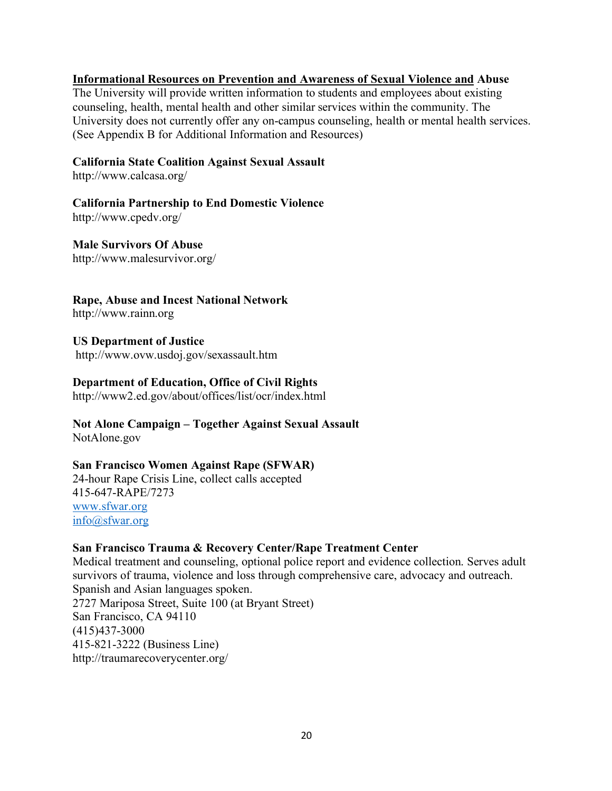#### **Informational Resources on Prevention and Awareness of Sexual Violence and Abuse**

The University will provide written information to students and employees about existing counseling, health, mental health and other similar services within the community. The University does not currently offer any on-campus counseling, health or mental health services. (See Appendix B for Additional Information and Resources)

#### **California State Coalition Against Sexual Assault**

http://www.calcasa.org/

**California Partnership to End Domestic Violence** 

http://www.cpedv.org/

**Male Survivors Of Abuse**  http://www.malesurvivor.org/

## **Rape, Abuse and Incest National Network**

http://www.rainn.org

**US Department of Justice** http://www.ovw.usdoj.gov/sexassault.htm

#### **Department of Education, Office of Civil Rights**

http://www2.ed.gov/about/offices/list/ocr/index.html

#### **Not Alone Campaign – Together Against Sexual Assault** NotAlone.gov

#### **San Francisco Women Against Rape (SFWAR)**

24-hour Rape Crisis Line, collect calls accepted 415-647-RAPE/7273 www.sfwar.org info@sfwar.org

#### **San Francisco Trauma & Recovery Center/Rape Treatment Center**

Medical treatment and counseling, optional police report and evidence collection. Serves adult survivors of trauma, violence and loss through comprehensive care, advocacy and outreach. Spanish and Asian languages spoken. 2727 Mariposa Street, Suite 100 (at Bryant Street) San Francisco, CA 94110 (415)437-3000 415-821-3222 (Business Line) http://traumarecoverycenter.org/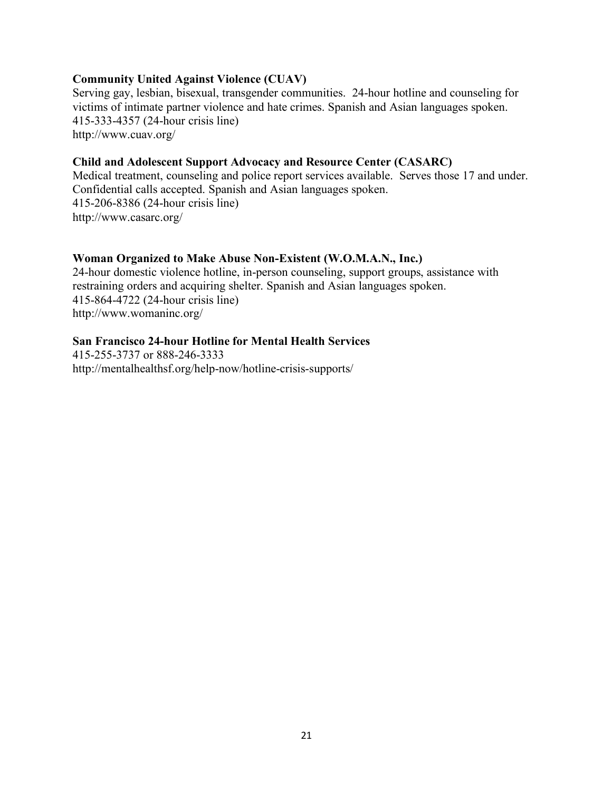#### **Community United Against Violence (CUAV)**

Serving gay, lesbian, bisexual, transgender communities. 24-hour hotline and counseling for victims of intimate partner violence and hate crimes. Spanish and Asian languages spoken. 415-333-4357 (24-hour crisis line) http://www.cuav.org/

## **Child and Adolescent Support Advocacy and Resource Center (CASARC)**

Medical treatment, counseling and police report services available. Serves those 17 and under. Confidential calls accepted. Spanish and Asian languages spoken. 415-206-8386 (24-hour crisis line) http://www.casarc.org/

## **Woman Organized to Make Abuse Non-Existent (W.O.M.A.N., Inc.)**

24-hour domestic violence hotline, in-person counseling, support groups, assistance with restraining orders and acquiring shelter. Spanish and Asian languages spoken. 415-864-4722 (24-hour crisis line) http://www.womaninc.org/

## **San Francisco 24-hour Hotline for Mental Health Services**

415-255-3737 or 888-246-3333 http://mentalhealthsf.org/help-now/hotline-crisis-supports/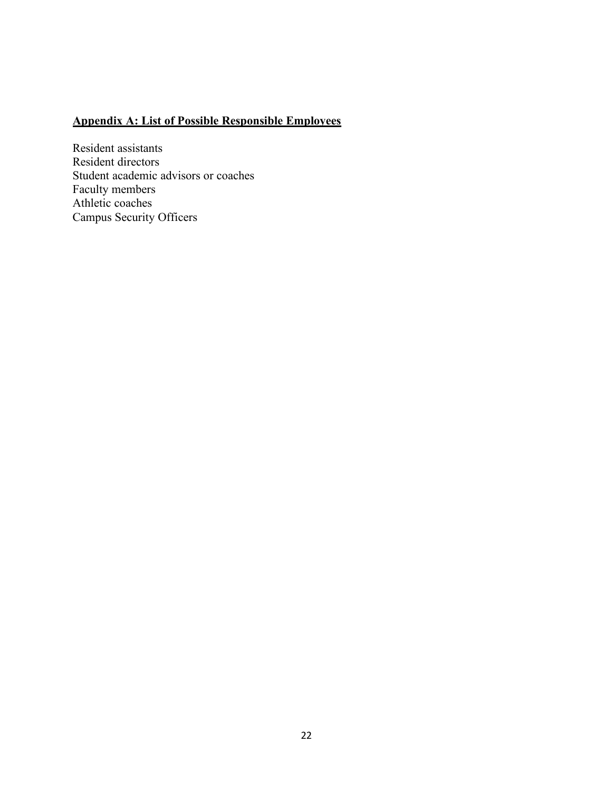# **Appendix A: List of Possible Responsible Employees**

Resident assistants Resident directors Student academic advisors or coaches Faculty members Athletic coaches Campus Security Officers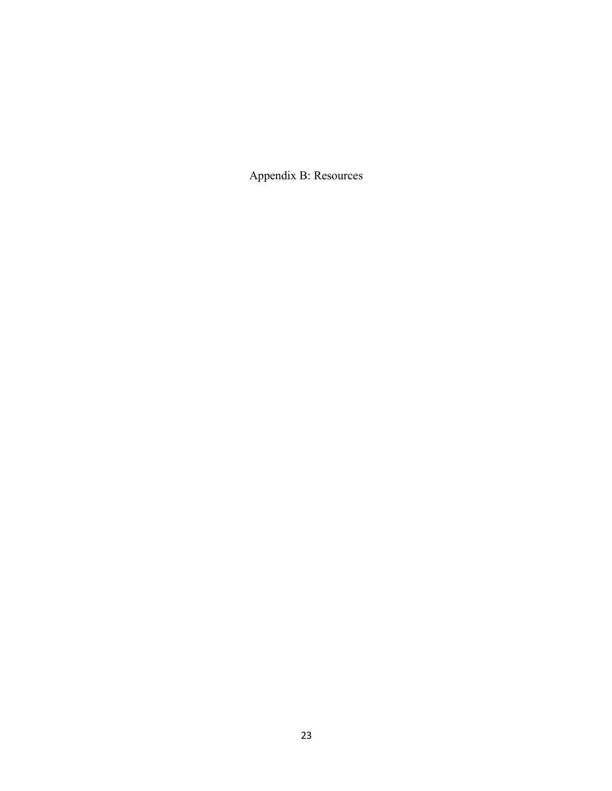Appendix B: Resources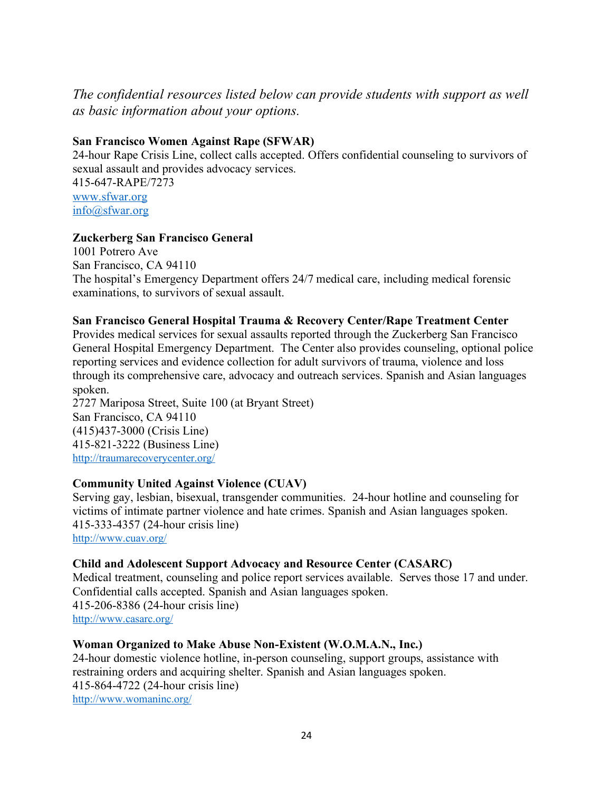## *The confidential resources listed below can provide students with support as well as basic information about your options.*

## **San Francisco Women Against Rape (SFWAR)**

24-hour Rape Crisis Line, collect calls accepted. Offers confidential counseling to survivors of sexual assault and provides advocacy services. 415-647-RAPE/7273 www.sfwar.org info@sfwar.org

## **Zuckerberg San Francisco General**

1001 Potrero Ave San Francisco, CA 94110 The hospital's Emergency Department offers 24/7 medical care, including medical forensic examinations, to survivors of sexual assault.

#### **San Francisco General Hospital Trauma & Recovery Center/Rape Treatment Center**

Provides medical services for sexual assaults reported through the Zuckerberg San Francisco General Hospital Emergency Department. The Center also provides counseling, optional police reporting services and evidence collection for adult survivors of trauma, violence and loss through its comprehensive care, advocacy and outreach services. Spanish and Asian languages spoken.

2727 Mariposa Street, Suite 100 (at Bryant Street) San Francisco, CA 94110 (415)437-3000 (Crisis Line) 415-821-3222 (Business Line) http://traumarecoverycenter.org/

#### **Community United Against Violence (CUAV)**

Serving gay, lesbian, bisexual, transgender communities. 24-hour hotline and counseling for victims of intimate partner violence and hate crimes. Spanish and Asian languages spoken. 415-333-4357 (24-hour crisis line) http://www.cuav.org/

#### **Child and Adolescent Support Advocacy and Resource Center (CASARC)**

Medical treatment, counseling and police report services available. Serves those 17 and under. Confidential calls accepted. Spanish and Asian languages spoken. 415-206-8386 (24-hour crisis line) http://www.casarc.org/

#### **Woman Organized to Make Abuse Non-Existent (W.O.M.A.N., Inc.)**

24-hour domestic violence hotline, in-person counseling, support groups, assistance with restraining orders and acquiring shelter. Spanish and Asian languages spoken. 415-864-4722 (24-hour crisis line) http://www.womaninc.org/